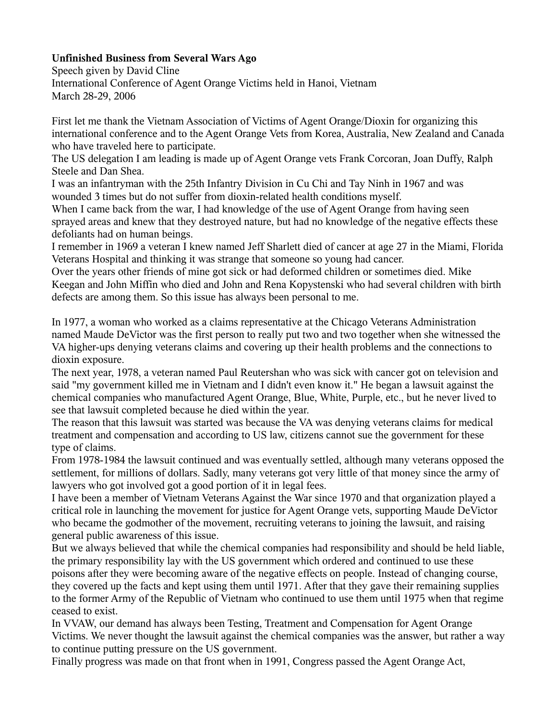## **Unfinished Business from Several Wars Ago**

Speech given by David Cline International Conference of Agent Orange Victims held in Hanoi, Vietnam March 28-29, 2006

First let me thank the Vietnam Association of Victims of Agent Orange/Dioxin for organizing this international conference and to the Agent Orange Vets from Korea, Australia, New Zealand and Canada who have traveled here to participate.

The US delegation I am leading is made up of Agent Orange vets Frank Corcoran, Joan Duffy, Ralph Steele and Dan Shea.

I was an infantryman with the 25th Infantry Division in Cu Chi and Tay Ninh in 1967 and was wounded 3 times but do not suffer from dioxin-related health conditions myself.

When I came back from the war, I had knowledge of the use of Agent Orange from having seen sprayed areas and knew that they destroyed nature, but had no knowledge of the negative effects these defoliants had on human beings.

I remember in 1969 a veteran I knew named Jeff Sharlett died of cancer at age 27 in the Miami, Florida Veterans Hospital and thinking it was strange that someone so young had cancer.

Over the years other friends of mine got sick or had deformed children or sometimes died. Mike Keegan and John Miffin who died and John and Rena Kopystenski who had several children with birth defects are among them. So this issue has always been personal to me.

In 1977, a woman who worked as a claims representative at the Chicago Veterans Administration named Maude DeVictor was the first person to really put two and two together when she witnessed the VA higher-ups denying veterans claims and covering up their health problems and the connections to dioxin exposure.

The next year, 1978, a veteran named Paul Reutershan who was sick with cancer got on television and said "my government killed me in Vietnam and I didn't even know it." He began a lawsuit against the chemical companies who manufactured Agent Orange, Blue, White, Purple, etc., but he never lived to see that lawsuit completed because he died within the year.

The reason that this lawsuit was started was because the VA was denying veterans claims for medical treatment and compensation and according to US law, citizens cannot sue the government for these type of claims.

From 1978-1984 the lawsuit continued and was eventually settled, although many veterans opposed the settlement, for millions of dollars. Sadly, many veterans got very little of that money since the army of lawyers who got involved got a good portion of it in legal fees.

I have been a member of Vietnam Veterans Against the War since 1970 and that organization played a critical role in launching the movement for justice for Agent Orange vets, supporting Maude DeVictor who became the godmother of the movement, recruiting veterans to joining the lawsuit, and raising general public awareness of this issue.

But we always believed that while the chemical companies had responsibility and should be held liable, the primary responsibility lay with the US government which ordered and continued to use these poisons after they were becoming aware of the negative effects on people. Instead of changing course, they covered up the facts and kept using them until 1971. After that they gave their remaining supplies to the former Army of the Republic of Vietnam who continued to use them until 1975 when that regime ceased to exist.

In VVAW, our demand has always been Testing, Treatment and Compensation for Agent Orange Victims. We never thought the lawsuit against the chemical companies was the answer, but rather a way to continue putting pressure on the US government.

Finally progress was made on that front when in 1991, Congress passed the Agent Orange Act,